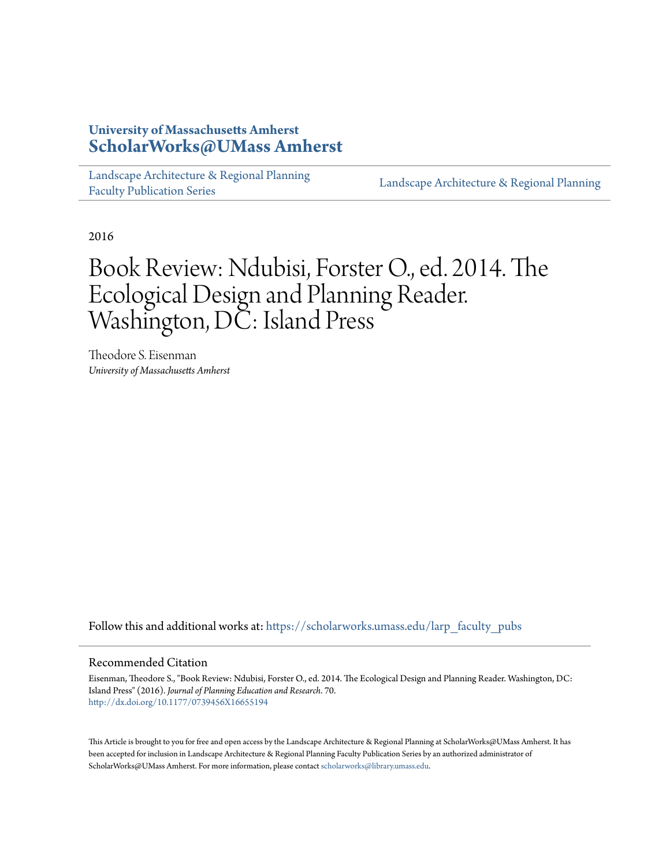### **University of Massachusetts Amherst [ScholarWorks@UMass Amherst](https://scholarworks.umass.edu?utm_source=scholarworks.umass.edu%2Flarp_faculty_pubs%2F70&utm_medium=PDF&utm_campaign=PDFCoverPages)**

[Landscape Architecture & Regional Planning](https://scholarworks.umass.edu/larp_faculty_pubs?utm_source=scholarworks.umass.edu%2Flarp_faculty_pubs%2F70&utm_medium=PDF&utm_campaign=PDFCoverPages) [Faculty Publication Series](https://scholarworks.umass.edu/larp_faculty_pubs?utm_source=scholarworks.umass.edu%2Flarp_faculty_pubs%2F70&utm_medium=PDF&utm_campaign=PDFCoverPages)

[Landscape Architecture & Regional Planning](https://scholarworks.umass.edu/larp?utm_source=scholarworks.umass.edu%2Flarp_faculty_pubs%2F70&utm_medium=PDF&utm_campaign=PDFCoverPages)

2016

# Book Review: Ndubisi, Forster O., ed. 2014. The Ecological Design and Planning Reader. Washington, DC: Island Press

Theodore S. Eisenman *University of Massachusetts Amherst*

Follow this and additional works at: [https://scholarworks.umass.edu/larp\\_faculty\\_pubs](https://scholarworks.umass.edu/larp_faculty_pubs?utm_source=scholarworks.umass.edu%2Flarp_faculty_pubs%2F70&utm_medium=PDF&utm_campaign=PDFCoverPages)

#### Recommended Citation

Eisenman, Theodore S., "Book Review: Ndubisi, Forster O., ed. 2014. The Ecological Design and Planning Reader. Washington, DC: Island Press" (2016). *Journal of Planning Education and Research*. 70. <http://dx.doi.org/10.1177/0739456X16655194>

This Article is brought to you for free and open access by the Landscape Architecture & Regional Planning at ScholarWorks@UMass Amherst. It has been accepted for inclusion in Landscape Architecture & Regional Planning Faculty Publication Series by an authorized administrator of ScholarWorks@UMass Amherst. For more information, please contact [scholarworks@library.umass.edu.](mailto:scholarworks@library.umass.edu)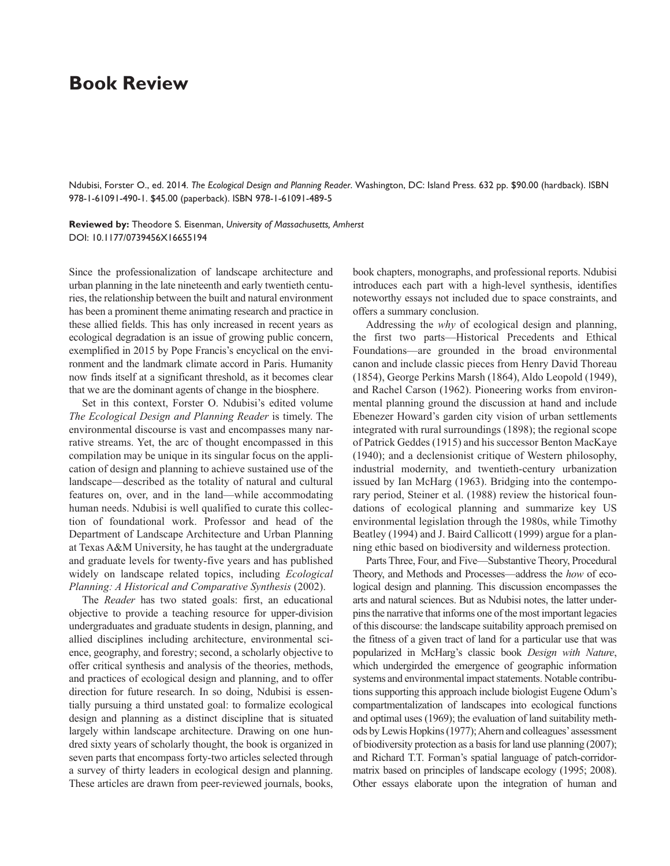## **Book Review**

Ndubisi, Forster O., ed. 2014. *The Ecological Design and Planning Reader*. Washington, DC: Island Press. 632 pp. \$90.00 (hardback). ISBN 978-1-61091-490-1. \$45.00 (paperback). ISBN 978-1-61091-489-5

**Reviewed by:** Theodore S. Eisenman, *University of Massachusetts, Amherst* DOI: 10.1177/0739456X16655194

Since the professionalization of landscape architecture and urban planning in the late nineteenth and early twentieth centuries, the relationship between the built and natural environment has been a prominent theme animating research and practice in these allied fields. This has only increased in recent years as ecological degradation is an issue of growing public concern, exemplified in 2015 by Pope Francis's encyclical on the environment and the landmark climate accord in Paris. Humanity now finds itself at a significant threshold, as it becomes clear that we are the dominant agents of change in the biosphere.

Set in this context, Forster O. Ndubisi's edited volume *The Ecological Design and Planning Reader* is timely. The environmental discourse is vast and encompasses many narrative streams. Yet, the arc of thought encompassed in this compilation may be unique in its singular focus on the application of design and planning to achieve sustained use of the landscape—described as the totality of natural and cultural features on, over, and in the land—while accommodating human needs. Ndubisi is well qualified to curate this collection of foundational work. Professor and head of the Department of Landscape Architecture and Urban Planning at Texas A&M University, he has taught at the undergraduate and graduate levels for twenty-five years and has published widely on landscape related topics, including *Ecological Planning: A Historical and Comparative Synthesis* (2002).

The *Reader* has two stated goals: first, an educational objective to provide a teaching resource for upper-division undergraduates and graduate students in design, planning, and allied disciplines including architecture, environmental science, geography, and forestry; second, a scholarly objective to offer critical synthesis and analysis of the theories, methods, and practices of ecological design and planning, and to offer direction for future research. In so doing, Ndubisi is essentially pursuing a third unstated goal: to formalize ecological design and planning as a distinct discipline that is situated largely within landscape architecture. Drawing on one hundred sixty years of scholarly thought, the book is organized in seven parts that encompass forty-two articles selected through a survey of thirty leaders in ecological design and planning. These articles are drawn from peer-reviewed journals, books,

book chapters, monographs, and professional reports. Ndubisi introduces each part with a high-level synthesis, identifies noteworthy essays not included due to space constraints, and offers a summary conclusion.

Addressing the *why* of ecological design and planning, the first two parts—Historical Precedents and Ethical Foundations—are grounded in the broad environmental canon and include classic pieces from Henry David Thoreau (1854), George Perkins Marsh (1864), Aldo Leopold (1949), and Rachel Carson (1962). Pioneering works from environmental planning ground the discussion at hand and include Ebenezer Howard's garden city vision of urban settlements integrated with rural surroundings (1898); the regional scope of Patrick Geddes (1915) and his successor Benton MacKaye (1940); and a declensionist critique of Western philosophy, industrial modernity, and twentieth-century urbanization issued by Ian McHarg (1963). Bridging into the contemporary period, Steiner et al. (1988) review the historical foundations of ecological planning and summarize key US environmental legislation through the 1980s, while Timothy Beatley (1994) and J. Baird Callicott (1999) argue for a planning ethic based on biodiversity and wilderness protection.

Parts Three, Four, and Five—Substantive Theory, Procedural Theory, and Methods and Processes—address the *how* of ecological design and planning. This discussion encompasses the arts and natural sciences. But as Ndubisi notes, the latter underpins the narrative that informs one of the most important legacies of this discourse: the landscape suitability approach premised on the fitness of a given tract of land for a particular use that was popularized in McHarg's classic book *Design with Nature*, which undergirded the emergence of geographic information systems and environmental impact statements. Notable contributions supporting this approach include biologist Eugene Odum's compartmentalization of landscapes into ecological functions and optimal uses (1969); the evaluation of land suitability methods by Lewis Hopkins (1977); Ahern and colleagues' assessment of biodiversity protection as a basis for land use planning (2007); and Richard T.T. Forman's spatial language of patch-corridormatrix based on principles of landscape ecology (1995; 2008). Other essays elaborate upon the integration of human and